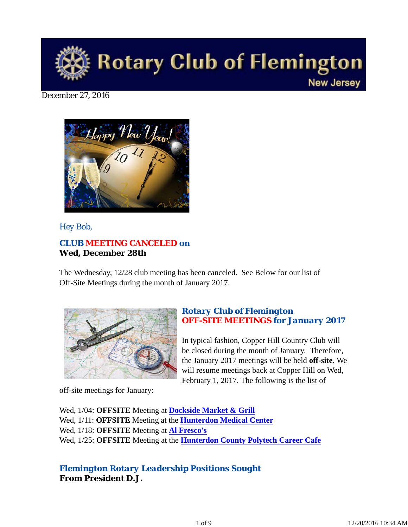

#### December 27, 2016



*Hey Bob,* 

# *CLUB MEETING CANCELED on* **Wed, December 28th**

The Wednesday, 12/28 club meeting has been canceled. See Below for our list of Off-Site Meetings during the month of January 2017.



off-site meetings for January:

## *Rotary Club of Flemington OFF-SITE MEETINGS for January 2017*

In typical fashion, Copper Hill Country Club will be closed during the month of January. Therefore, the January 2017 meetings will be held **off-site**. We will resume meetings back at Copper Hill on Wed, February 1, 2017. The following is the list of

Wed, 1/04: **OFFSITE** Meeting at **Dockside Market & Grill** Wed, 1/11: **OFFSITE** Meeting at the **Hunterdon Medical Center** Wed, 1/18: **OFFSITE** Meeting at **Al Fresco's** Wed, 1/25: **OFFSITE** Meeting at the **Hunterdon County Polytech Career Cafe**

## *Flemington Rotary Leadership Positions Sought* **From President D.J.**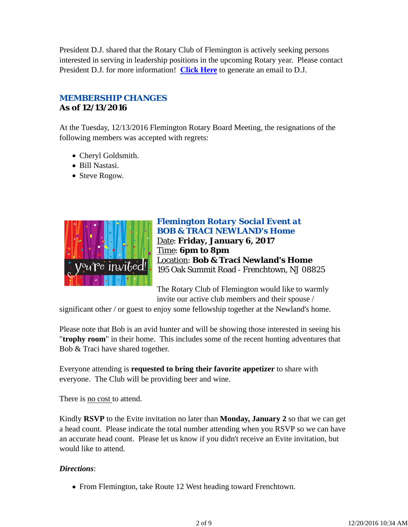President D.J. shared that the Rotary Club of Flemington is actively seeking persons interested in serving in leadership positions in the upcoming Rotary year. Please contact President D.J. for more information! **Click Here** to generate an email to D.J.

# *MEMBERSHIP CHANGES* **As of 12/13/2016**

At the Tuesday, 12/13/2016 Flemington Rotary Board Meeting, the resignations of the following members was accepted with regrets:

- Cheryl Goldsmith.
- Bill Nastasi.
- Steve Rogow.



## *Flemington Rotary Social Event at BOB & TRACI NEWLAND's Home* Date: **Friday, January 6, 2017** Time: **6pm to 8pm** Location: **Bob & Traci Newland's Home** 195 Oak Summit Road - Frenchtown, NJ 08825

The Rotary Club of Flemington would like to warmly invite our active club members and their spouse /

significant other / or guest to enjoy some fellowship together at the Newland's home.

Please note that Bob is an avid hunter and will be showing those interested in seeing his "**trophy room**" in their home. This includes some of the recent hunting adventures that Bob & Traci have shared together.

Everyone attending is **requested to bring their favorite appetizer** to share with everyone. The Club will be providing beer and wine.

There is no cost to attend.

Kindly **RSVP** to the Evite invitation no later than **Monday, January 2** so that we can get a head count. Please indicate the total number attending when you RSVP so we can have an accurate head count. Please let us know if you didn't receive an Evite invitation, but would like to attend.

## *Directions*:

• From Flemington, take Route 12 West heading toward Frenchtown.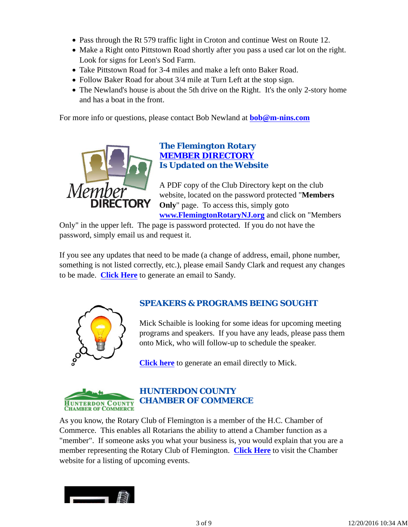- Pass through the Rt 579 traffic light in Croton and continue West on Route 12.
- Make a Right onto Pittstown Road shortly after you pass a used car lot on the right. Look for signs for Leon's Sod Farm.
- Take Pittstown Road for 3-4 miles and make a left onto Baker Road.
- Follow Baker Road for about 3/4 mile at Turn Left at the stop sign.
- The Newland's house is about the 5th drive on the Right. It's the only 2-story home and has a boat in the front.

For more info or questions, please contact Bob Newland at **bob@m-nins.com**



## *The Flemington Rotary MEMBER DIRECTORY Is Updated on the Website*

A PDF copy of the Club Directory kept on the club website, located on the password protected "**Members Only**" page. To access this, simply goto **www.FlemingtonRotaryNJ.org** and click on "Members

Only" in the upper left. The page is password protected. If you do not have the password, simply email us and request it.

If you see any updates that need to be made (a change of address, email, phone number, something is not listed correctly, etc.), please email Sandy Clark and request any changes to be made. **Click Here** to generate an email to Sandy.



# *SPEAKERS & PROGRAMS BEING SOUGHT*

Mick Schaible is looking for some ideas for upcoming meeting programs and speakers. If you have any leads, please pass them onto Mick, who will follow-up to schedule the speaker.

**Click here** to generate an email directly to Mick.



# *HUNTERDON COUNTY CHAMBER OF COMMERCE*

As you know, the Rotary Club of Flemington is a member of the H.C. Chamber of Commerce. This enables all Rotarians the ability to attend a Chamber function as a "member". If someone asks you what your business is, you would explain that you are a member representing the Rotary Club of Flemington. **Click Here** to visit the Chamber website for a listing of upcoming events.

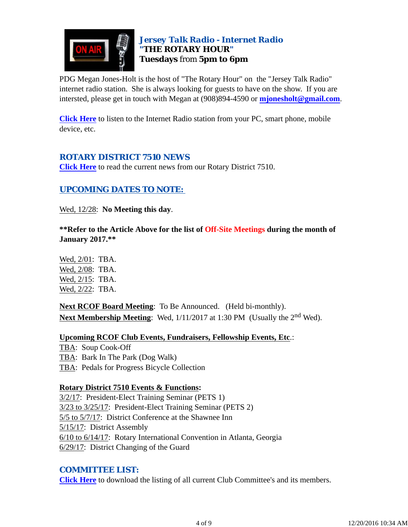

# *Jersey Talk Radio - Internet Radio "THE ROTARY HOUR"* **Tuesdays** from **5pm to 6pm**

PDG Megan Jones-Holt is the host of "The Rotary Hour" on the "Jersey Talk Radio" internet radio station. She is always looking for guests to have on the show. If you are intersted, please get in touch with Megan at (908)894-4590 or **mjonesholt@gmail.com**.

**Click Here** to listen to the Internet Radio station from your PC, smart phone, mobile device, etc.

# *ROTARY DISTRICT 7510 NEWS*

**Click Here** to read the current news from our Rotary District 7510.

# *UPCOMING DATES TO NOTE:*

Wed, 12/28: **No Meeting this day**.

**\*\*Refer to the Article Above for the list of Off-Site Meetings during the month of January 2017.\*\***

Wed, 2/01: TBA. Wed, 2/08: TBA. Wed, 2/15: TBA. Wed, 2/22: TBA.

**Next RCOF Board Meeting**: To Be Announced. (Held bi-monthly). **Next Membership Meeting**: Wed,  $1/11/2017$  at 1:30 PM (Usually the 2<sup>nd</sup> Wed).

**Upcoming RCOF Club Events, Fundraisers, Fellowship Events, Etc**.: TBA: Soup Cook-Off TBA: Bark In The Park (Dog Walk) TBA: Pedals for Progress Bicycle Collection

#### **Rotary District 7510 Events & Functions:**

3/2/17: President-Elect Training Seminar (PETS 1) 3/23 to 3/25/17: President-Elect Training Seminar (PETS 2) 5/5 to 5/7/17: District Conference at the Shawnee Inn 5/15/17: District Assembly 6/10 to 6/14/17: Rotary International Convention in Atlanta, Georgia 6/29/17: District Changing of the Guard

# *COMMITTEE LIST:*

**Click Here** to download the listing of all current Club Committee's and its members.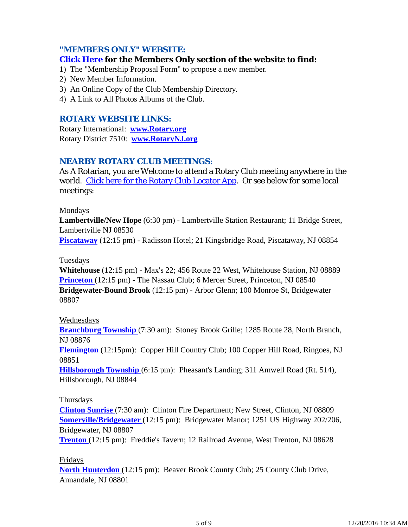## *"MEMBERS ONLY" WEBSITE:*

#### **Click Here for the Members Only section of the website to find:**

- 1) The "Membership Proposal Form" to propose a new member.
- 2) New Member Information.
- 3) An Online Copy of the Club Membership Directory.
- 4) A Link to All Photos Albums of the Club.

#### *ROTARY WEBSITE LINKS:*

Rotary International: **www.Rotary.org** Rotary District 7510: **www.RotaryNJ.org**

## *NEARBY ROTARY CLUB MEETINGS:*

As A Rotarian, you are Welcome to attend a Rotary Club meeting anywhere in the world. Click here for the Rotary Club Locator App. Or see below for some local meetings:

#### Mondays

**Lambertville/New Hope** (6:30 pm) - Lambertville Station Restaurant; 11 Bridge Street, Lambertville NJ 08530

**Piscataway** (12:15 pm) - Radisson Hotel; 21 Kingsbridge Road, Piscataway, NJ 08854

#### Tuesdays

**Whitehouse** (12:15 pm) - Max's 22; 456 Route 22 West, Whitehouse Station, NJ 08889 **Princeton** (12:15 pm) - The Nassau Club; 6 Mercer Street, Princeton, NJ 08540 **Bridgewater-Bound Brook** (12:15 pm) - Arbor Glenn; 100 Monroe St, Bridgewater 08807

#### Wednesdays

**Branchburg Township** (7:30 am): Stoney Brook Grille; 1285 Route 28, North Branch, NJ 08876

**Flemington** (12:15pm): Copper Hill Country Club; 100 Copper Hill Road, Ringoes, NJ 08851

**Hillsborough Township** (6:15 pm): Pheasant's Landing; 311 Amwell Road (Rt. 514), Hillsborough, NJ 08844

#### Thursdays

**Clinton Sunrise** (7:30 am): Clinton Fire Department; New Street, Clinton, NJ 08809 **Somerville/Bridgewater** (12:15 pm): Bridgewater Manor; 1251 US Highway 202/206, Bridgewater, NJ 08807

**Trenton** (12:15 pm): Freddie's Tavern; 12 Railroad Avenue, West Trenton, NJ 08628

#### Fridays

**North Hunterdon** (12:15 pm): Beaver Brook County Club; 25 County Club Drive, Annandale, NJ 08801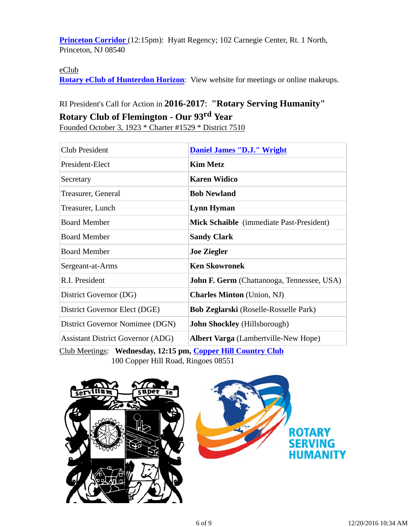**Princeton Corridor** (12:15pm): Hyatt Regency; 102 Carnegie Center, Rt. 1 North, Princeton, NJ 08540

## eClub

**Rotary eClub of Hunterdon Horizon**: View website for meetings or online makeups.

# RI President's Call for Action in **2016-2017**: **"Rotary Serving Humanity" Rotary Club of Flemington - Our 93rd Year**

Founded October 3, 1923 \* Charter #1529 \* District 7510

| <b>Club President</b>                    | <b>Daniel James "D.J." Wright</b>                 |
|------------------------------------------|---------------------------------------------------|
| President-Elect                          | <b>Kim Metz</b>                                   |
| Secretary                                | <b>Karen Widico</b>                               |
| Treasurer, General                       | <b>Bob Newland</b>                                |
| Treasurer, Lunch                         | <b>Lynn Hyman</b>                                 |
| <b>Board Member</b>                      | Mick Schaible (immediate Past-President)          |
| <b>Board Member</b>                      | <b>Sandy Clark</b>                                |
| <b>Board Member</b>                      | <b>Joe Ziegler</b>                                |
| Sergeant-at-Arms                         | <b>Ken Skowronek</b>                              |
| R.I. President                           | <b>John F. Germ</b> (Chattanooga, Tennessee, USA) |
| District Governor (DG)                   | <b>Charles Minton</b> (Union, NJ)                 |
| District Governor Elect (DGE)            | <b>Bob Zeglarski</b> (Roselle-Rosselle Park)      |
| District Governor Nomimee (DGN)          | <b>John Shockley</b> (Hillsborough)               |
| <b>Assistant District Governor (ADG)</b> | <b>Albert Varga</b> (Lambertville-New Hope)       |

Club Meetings: **Wednesday, 12:15 pm, Copper Hill Country Club** 100 Copper Hill Road, Ringoes 08551

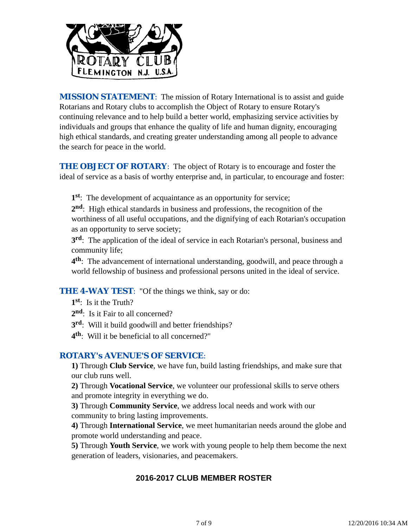

*MISSION STATEMENT*: The mission of Rotary International is to assist and guide Rotarians and Rotary clubs to accomplish the Object of Rotary to ensure Rotary's continuing relevance and to help build a better world, emphasizing service activities by individuals and groups that enhance the quality of life and human dignity, encouraging high ethical standards, and creating greater understanding among all people to advance the search for peace in the world.

**THE OBJECT OF ROTARY:** The object of Rotary is to encourage and foster the ideal of service as a basis of worthy enterprise and, in particular, to encourage and foster:

**1st**: The development of acquaintance as an opportunity for service;

**2nd**: High ethical standards in business and professions, the recognition of the worthiness of all useful occupations, and the dignifying of each Rotarian's occupation as an opportunity to serve society;

**3rd**: The application of the ideal of service in each Rotarian's personal, business and community life;

**4th**: The advancement of international understanding, goodwill, and peace through a world fellowship of business and professional persons united in the ideal of service.

**THE 4-WAY TEST:** "Of the things we think, say or do:

- **1st**: Is it the Truth?
- 2<sup>nd</sup>: Is it Fair to all concerned?
- **3rd**: Will it build goodwill and better friendships?
- **4th**: Will it be beneficial to all concerned?"

## *ROTARY's AVENUE'S OF SERVICE*:

**1)** Through **Club Service**, we have fun, build lasting friendships, and make sure that our club runs well.

**2)** Through **Vocational Service**, we volunteer our professional skills to serve others and promote integrity in everything we do.

**3)** Through **Community Service**, we address local needs and work with our community to bring lasting improvements.

**4)** Through **International Service**, we meet humanitarian needs around the globe and promote world understanding and peace.

**5)** Through **Youth Service**, we work with young people to help them become the next generation of leaders, visionaries, and peacemakers.

# **2016-2017 CLUB MEMBER ROSTER**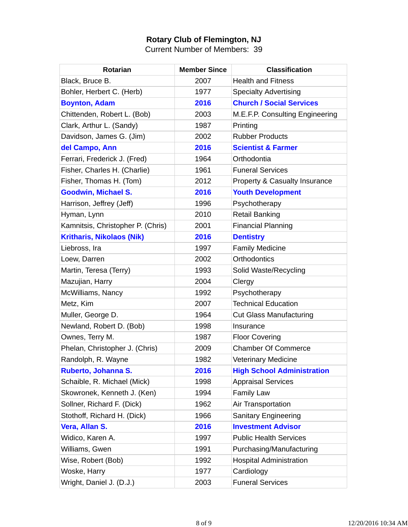## **Rotary Club of Flemington, NJ**

Current Number of Members: 39

| <b>Rotarian</b>                   | <b>Member Since</b> | <b>Classification</b>             |
|-----------------------------------|---------------------|-----------------------------------|
| Black, Bruce B.                   | 2007                | <b>Health and Fitness</b>         |
| Bohler, Herbert C. (Herb)         | 1977                | <b>Specialty Advertising</b>      |
| <b>Boynton, Adam</b>              | 2016                | <b>Church / Social Services</b>   |
| Chittenden, Robert L. (Bob)       | 2003                | M.E.F.P. Consulting Engineering   |
| Clark, Arthur L. (Sandy)          | 1987                | Printing                          |
| Davidson, James G. (Jim)          | 2002                | <b>Rubber Products</b>            |
| del Campo, Ann                    | 2016                | <b>Scientist &amp; Farmer</b>     |
| Ferrari, Frederick J. (Fred)      | 1964                | Orthodontia                       |
| Fisher, Charles H. (Charlie)      | 1961                | <b>Funeral Services</b>           |
| Fisher, Thomas H. (Tom)           | 2012                | Property & Casualty Insurance     |
| <b>Goodwin, Michael S.</b>        | 2016                | <b>Youth Development</b>          |
| Harrison, Jeffrey (Jeff)          | 1996                | Psychotherapy                     |
| Hyman, Lynn                       | 2010                | <b>Retail Banking</b>             |
| Kamnitsis, Christopher P. (Chris) | 2001                | <b>Financial Planning</b>         |
| <b>Kritharis, Nikolaos (Nik)</b>  | 2016                | <b>Dentistry</b>                  |
| Liebross, Ira                     | 1997                | <b>Family Medicine</b>            |
| Loew, Darren                      | 2002                | <b>Orthodontics</b>               |
| Martin, Teresa (Terry)            | 1993                | Solid Waste/Recycling             |
| Mazujian, Harry                   | 2004                | Clergy                            |
| McWilliams, Nancy                 | 1992                | Psychotherapy                     |
| Metz, Kim                         | 2007                | <b>Technical Education</b>        |
| Muller, George D.                 | 1964                | <b>Cut Glass Manufacturing</b>    |
| Newland, Robert D. (Bob)          | 1998                | Insurance                         |
| Ownes, Terry M.                   | 1987                | <b>Floor Covering</b>             |
| Phelan, Christopher J. (Chris)    | 2009                | <b>Chamber Of Commerce</b>        |
| Randolph, R. Wayne                | 1982                | <b>Veterinary Medicine</b>        |
| Ruberto, Johanna S.               | 2016                | <b>High School Administration</b> |
| Schaible, R. Michael (Mick)       | 1998                | <b>Appraisal Services</b>         |
| Skowronek, Kenneth J. (Ken)       | 1994                | <b>Family Law</b>                 |
| Sollner, Richard F. (Dick)        | 1962                | Air Transportation                |
| Stothoff, Richard H. (Dick)       | 1966                | <b>Sanitary Engineering</b>       |
| Vera, Allan S.                    | 2016                | <b>Investment Advisor</b>         |
| Widico, Karen A.                  | 1997                | <b>Public Health Services</b>     |
| Williams, Gwen                    | 1991                | Purchasing/Manufacturing          |
| Wise, Robert (Bob)                | 1992                | <b>Hospital Administration</b>    |
| Woske, Harry                      | 1977                | Cardiology                        |
| Wright, Daniel J. (D.J.)          | 2003                | <b>Funeral Services</b>           |